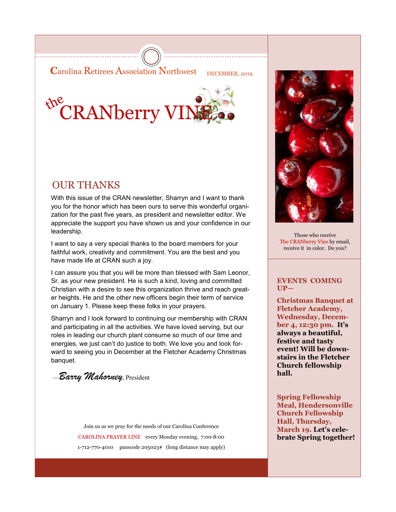**Carolina Retirees Association Northwest** DECEMBER, 2019



# OUR THANKS

With this issue of the CRAN newsletter, Sharryn and I want to thank you for the honor which has been ours to serve this wonderful organization for the past five years, as president and newsletter editor. We appreciate the support you have shown us and your confidence in our leadership.

I want to say a very special thanks to the board members for your faithful work, creativity and commitment. You are the best and you have made life at CRAN such a joy.

I can assure you that you will be more than blessed with Sam Leonor, Sr. as your new president. He is such a kind, loving and committed Christian with a desire to see this organization thrive and reach greater heights. He and the other new officers begin their term of service on January 1. Please keep these folks in your prayers.

Sharryn and I look forward to continuing our membership with CRAN and participating in all the activities. We have loved serving, but our roles in leading our church plant consume so much of our time and energies, we just can't do justice to both. We love you and look forward to seeing you in December at the Fletcher Academy Christmas banquet.

—*Barry Mahorney*, President

Join us as we pray for the needs of our Carolina Conference CAROLINA PRAYER LINE every Monday evening, 7:00-8:00 1-712-770-4010 passcode 205023# (long distance may apply)



Those who receive The CRANberry Vine by email, receive it in color. Do you?

### **EVENTS COMING UP—**

**Christmas Banquet at Fletcher Academy, Wednesday, December 4, 12:30 pm. It's always a beautiful, festive and tasty event! Will be downstairs in the Fletcher Church fellowship hall.** 

**Spring Fellowship Meal, Hendersonville Church Fellowship Hall, Thursday, March 19. Let's celebrate Spring together!**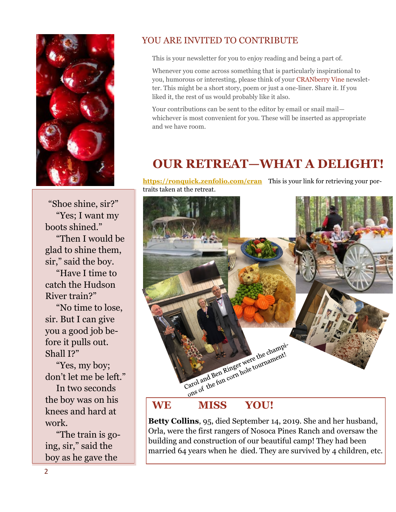

"Shoe shine, sir?" "Yes; I want my boots shined." "Then I would be glad to shine them, sir," said the boy.

 "Have I time to catch the Hudson River train?"

 "No time to lose, sir. But I can give you a good job before it pulls out. Shall I?"

 "Yes, my boy; don't let me be left." In two seconds the boy was on his knees and hard at work.

 "The train is going, sir," said the boy as he gave the

## YOU ARE INVITED TO CONTRIBUTE

This is your newsletter for you to enjoy reading and being a part of.

Whenever you come across something that is particularly inspirational to you, humorous or interesting, please think of your CRANberry Vine newsletter. This might be a short story, poem or just a one-liner. Share it. If you liked it, the rest of us would probably like it also.

Your contributions can be sent to the editor by email or snail mail whichever is most convenient for you. These will be inserted as appropriate and we have room.

# **OUR RETREAT—WHAT A DELIGHT!**

**<https://ronquick.zenfolio.com/cran>** This is your link for retrieving your portraits taken at the retreat.



**Betty Collins**, 95, died September 14, 2019. She and her husband, Orla, were the first rangers of Nosoca Pines Ranch and oversaw the building and construction of our beautiful camp! They had been married 64 years when he died. They are survived by 4 children, etc.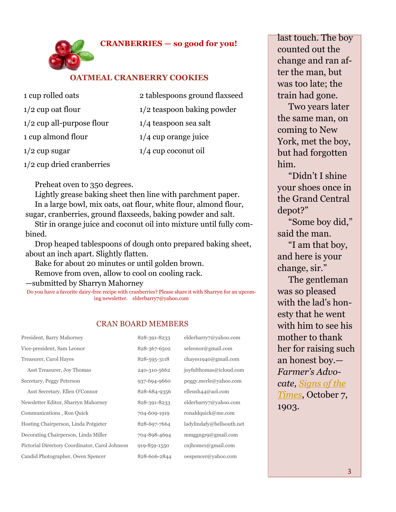

### **OATMEAL CRANBERRY COOKIES**

- 1 cup rolled oats 1/2 cup oat flour 1/2 cup all-purpose flour 1 cup almond flour 1/2 cup sugar 2 tablespoons ground flaxseed 1/2 teaspoon baking powder 1/4 teaspoon sea salt 1/4 cup orange juice 1/4 cup coconut oil
- 1/2 cup dried cranberries

Preheat oven to 350 degrees.

 Lightly grease baking sheet then line with parchment paper. In a large bowl, mix oats, oat flour, white flour, almond flour, sugar, cranberries, ground flaxseeds, baking powder and salt.

 Stir in orange juice and coconut oil into mixture until fully combined.

 Drop heaped tablespoons of dough onto prepared baking sheet, about an inch apart. Slightly flatten.

Bake for about 20 minutes or until golden brown.

Remove from oven, allow to cool on cooling rack.

—submitted by Sharryn Mahorney

Do you have a favorite dairy-free recipe with cranberries? Please share it with Sharryn for an upcoming newsletter. elderbarry7@yahoo.com

### CRAN BOARD MEMBERS

| President, Barry Mahorney                      | 828-391-8233 | elderbarry7@yahoo.com     |
|------------------------------------------------|--------------|---------------------------|
| Vice-president, Sam Leonor                     | 828-367-6502 | seleonor@gmail.com        |
| Treasurer, Carol Hayes                         | 828-595-3118 | chayes1940@gmail.com      |
| Asst Treasurer, Joy Thomas                     | 240-310-5662 | joyfulthomas@icloud.com   |
| Secretary, Peggy Peterson                      | 937-694-9660 | peggy.merle@yahoo.com     |
| Asst Secretary, Ellen O'Connor                 | 828-684-9356 | ellensh $44@$ aol.com     |
| Newsletter Editor, Sharryn Mahorney            | 828-391-8233 | elderbarry7@yahoo.com     |
| Communications, Ron Quick                      | 704-609-1919 | ronaldquick@me.com        |
| Hosting Chairperson, Linda Potgieter           | 828-697-7664 | ladylindafy@bellsouth.net |
| Decorating Chairperson, Linda Miller           | 704-898-4694 | mmggngrg@gmail.com        |
| Pictorial Directory Coordinator, Carol Johnson | 919-859-1550 | cnjhome1@gmail.com        |
| Candid Photographer, Owen Spencer              | 828-606-2844 | oespencer@yahoo.com       |

last touch. The boy counted out the change and ran after the man, but was too late; the train had gone.

 Two years later the same man, on coming to New York, met the boy, but had forgotten him.

 "Didn't I shine your shoes once in the Grand Central depot?"

 "Some boy did," said the man.

 "I am that boy, and here is your change, sir."

 The gentleman was so pleased with the lad's honesty that he went with him to see his mother to thank her for raising such an honest boy.— *Farmer's Advocate, [Signs of the](https://pacificpress.us5.list-manage.com/track/click?u=ee1dbfa4471ec1908fbebbebb&id=13e67b65f2&e=cfded3cb20)  [Times](https://pacificpress.us5.list-manage.com/track/click?u=ee1dbfa4471ec1908fbebbebb&id=13e67b65f2&e=cfded3cb20)*, October 7, 1903.